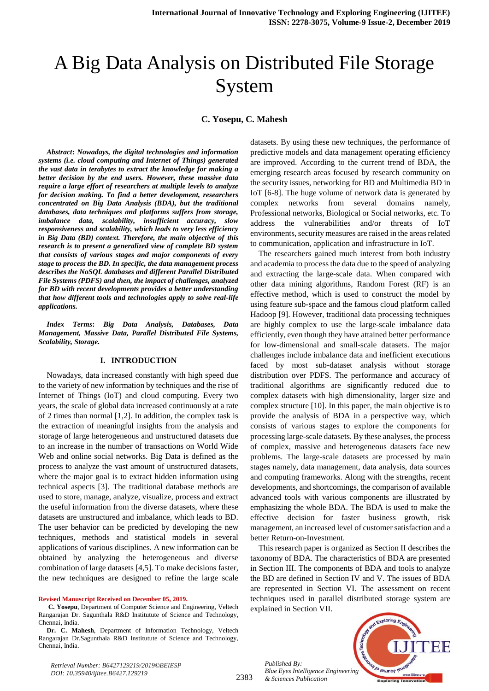# A Big Data Analysis on Distributed File Storage System

**C. Yosepu, C. Mahesh**

*Abstract***:** *Nowadays, the digital technologies and information systems (i.e. cloud computing and Internet of Things) generated the vast data in terabytes to extract the knowledge for making a better decision by the end users. However, these massive data require a large effort of researchers at multiple levels to analyze for decision making. To find a better development, researchers concentrated on Big Data Analysis (BDA), but the traditional databases, data techniques and platforms suffers from storage, imbalance data, scalability, insufficient accuracy, slow responsiveness and scalability, which leads to very less efficiency in Big Data (BD) context. Therefore, the main objective of this research is to present a generalized view of complete BD system that consists of various stages and major components of every stage to process the BD. In specific, the data management process describes the NoSQL databases and different Parallel Distributed File Systems (PDFS) and then, the impact of challenges, analyzed for BD with recent developments provides a better understanding that how different tools and technologies apply to solve real-life applications.*

*Index Terms***:** *Big Data Analysis, Databases, Data Management, Massive Data, Parallel Distributed File Systems, Scalability, Storage.* 

#### **I. INTRODUCTION**

Nowadays, data increased constantly with high speed due to the variety of new information by techniques and the rise of Internet of Things (IoT) and cloud computing. Every two years, the scale of global data increased continuously at a rate of 2 times than normal [1,2]. In addition, the complex task is the extraction of meaningful insights from the analysis and storage of large heterogeneous and unstructured datasets due to an increase in the number of transactions on World Wide Web and online social networks. Big Data is defined as the process to analyze the vast amount of unstructured datasets, where the major goal is to extract hidden information using technical aspects [3]. The traditional database methods are used to store, manage, analyze, visualize, process and extract the useful information from the diverse datasets, where these datasets are unstructured and imbalance, which leads to BD. The user behavior can be predicted by developing the new techniques, methods and statistical models in several applications of various disciplines. A new information can be obtained by analyzing the heterogeneous and diverse combination of large datasets [4,5]. To make decisions faster, the new techniques are designed to refine the large scale

**Revised Manuscript Received on December 05, 2019.**

**C. Yosepu**, Department of Computer Science and Engineering, Veltech Rangarajan Dr. Sagunthala R&D Institutute of Science and Technology, Chennai, India.

datasets. By using these new techniques, the performance of predictive models and data management operating efficiency are improved. According to the current trend of BDA, the emerging research areas focused by research community on the security issues, networking for BD and Multimedia BD in IoT [6-8]. The huge volume of network data is generated by complex networks from several domains namely, Professional networks, Biological or Social networks, etc. To address the vulnerabilities and/or threats of IoT environments, security measures are raised in the areas related to communication, application and infrastructure in IoT.

The researchers gained much interest from both industry and academia to process the data due to the speed of analyzing and extracting the large-scale data. When compared with other data mining algorithms, Random Forest (RF) is an effective method, which is used to construct the model by using feature sub-space and the famous cloud platform called Hadoop [9]. However, traditional data processing techniques are highly complex to use the large-scale imbalance data efficiently, even though they have attained better performance for low-dimensional and small-scale datasets. The major challenges include imbalance data and inefficient executions faced by most sub-dataset analysis without storage distribution over PDFS. The performance and accuracy of traditional algorithms are significantly reduced due to complex datasets with high dimensionality, larger size and complex structure [10]. In this paper, the main objective is to provide the analysis of BDA in a perspective way, which consists of various stages to explore the components for processing large-scale datasets. By these analyses, the process of complex, massive and heterogeneous datasets face new problems. The large-scale datasets are processed by main stages namely, data management, data analysis, data sources and computing frameworks. Along with the strengths, recent developments, and shortcomings, the comparison of available advanced tools with various components are illustrated by emphasizing the whole BDA. The BDA is used to make the effective decision for faster business growth, risk management, an increased level of customer satisfaction and a better Return-on-Investment.

This research paper is organized as Section II describes the taxonomy of BDA. The characteristics of BDA are presented in Section III. The components of BDA and tools to analyze the BD are defined in Section IV and V. The issues of BDA are represented in Section VI. The assessment on recent techniques used in parallel distributed storage system are explained in Section VII.

*Published By: Blue Eyes Intelligence Engineering & Sciences Publication* 



*Retrieval Number: B6427129219/2019©BEIESP DOI: 10.35940/ijitee.B6427.129219*

**Dr. C. Mahesh**, Department of Information Technology, Veltech Rangarajan Dr.Sagunthala R&D Institutute of Science and Technology, Chennai, India.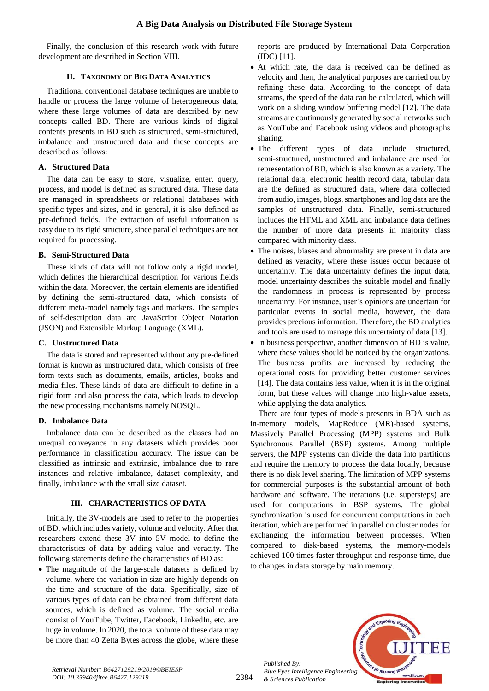Finally, the conclusion of this research work with future development are described in Section VIII.

## **II. TAXONOMY OF BIG DATA ANALYTICS**

Traditional conventional database techniques are unable to handle or process the large volume of heterogeneous data, where these large volumes of data are described by new concepts called BD. There are various kinds of digital contents presents in BD such as structured, semi-structured, imbalance and unstructured data and these concepts are described as follows:

## **A. Structured Data**

The data can be easy to store, visualize, enter, query, process, and model is defined as structured data. These data are managed in spreadsheets or relational databases with specific types and sizes, and in general, it is also defined as pre-defined fields. The extraction of useful information is easy due to its rigid structure, since parallel techniques are not required for processing.

## **B. Semi-Structured Data**

These kinds of data will not follow only a rigid model, which defines the hierarchical description for various fields within the data. Moreover, the certain elements are identified by defining the semi-structured data, which consists of different meta-model namely tags and markers. The samples of self-description data are JavaScript Object Notation (JSON) and Extensible Markup Language (XML).

## **C. Unstructured Data**

The data is stored and represented without any pre-defined format is known as unstructured data, which consists of free form texts such as documents, emails, articles, books and media files. These kinds of data are difficult to define in a rigid form and also process the data, which leads to develop the new processing mechanisms namely NOSQL.

## **D. Imbalance Data**

Imbalance data can be described as the classes had an unequal conveyance in any datasets which provides poor performance in classification accuracy. The issue can be classified as intrinsic and extrinsic, imbalance due to rare instances and relative imbalance, dataset complexity, and finally, imbalance with the small size dataset.

## **III. CHARACTERISTICS OF DATA**

Initially, the 3V-models are used to refer to the properties of BD, which includes variety, volume and velocity. After that researchers extend these 3V into 5V model to define the characteristics of data by adding value and veracity. The following statements define the characteristics of BD as:

• The magnitude of the large-scale datasets is defined by volume, where the variation in size are highly depends on the time and structure of the data. Specifically, size of various types of data can be obtained from different data sources, which is defined as volume. The social media consist of YouTube, Twitter, Facebook, LinkedIn, etc. are huge in volume. In 2020, the total volume of these data may be more than 40 Zetta Bytes across the globe, where these reports are produced by International Data Corporation (IDC) [11].

- At which rate, the data is received can be defined as velocity and then, the analytical purposes are carried out by refining these data. According to the concept of data streams, the speed of the data can be calculated, which will work on a sliding window buffering model [12]. The data streams are continuously generated by social networks such as YouTube and Facebook using videos and photographs sharing.
- The different types of data include structured, semi-structured, unstructured and imbalance are used for representation of BD, which is also known as a variety. The relational data, electronic health record data, tabular data are the defined as structured data, where data collected from audio, images, blogs, smartphones and log data are the samples of unstructured data. Finally, semi-structured includes the HTML and XML and imbalance data defines the number of more data presents in majority class compared with minority class.
- The noises, biases and abnormality are present in data are defined as veracity, where these issues occur because of uncertainty. The data uncertainty defines the input data, model uncertainty describes the suitable model and finally the randomness in process is represented by process uncertainty. For instance, user's opinions are uncertain for particular events in social media, however, the data provides precious information. Therefore, the BD analytics and tools are used to manage this uncertainty of data [13].
- In business perspective, another dimension of BD is value, where these values should be noticed by the organizations. The business profits are increased by reducing the operational costs for providing better customer services [14]. The data contains less value, when it is in the original form, but these values will change into high-value assets, while applying the data analytics.

There are four types of models presents in BDA such as in-memory models, MapReduce (MR)-based systems, Massively Parallel Processing (MPP) systems and Bulk Synchronous Parallel (BSP) systems. Among multiple servers, the MPP systems can divide the data into partitions and require the memory to process the data locally, because there is no disk level sharing. The limitation of MPP systems for commercial purposes is the substantial amount of both hardware and software. The iterations (i.e. supersteps) are used for computations in BSP systems. The global synchronization is used for concurrent computations in each iteration, which are performed in parallel on cluster nodes for exchanging the information between processes. When compared to disk-based systems, the memory-models achieved 100 times faster throughput and response time, due to changes in data storage by main memory.



2384

*Published By:*

*& Sciences Publication*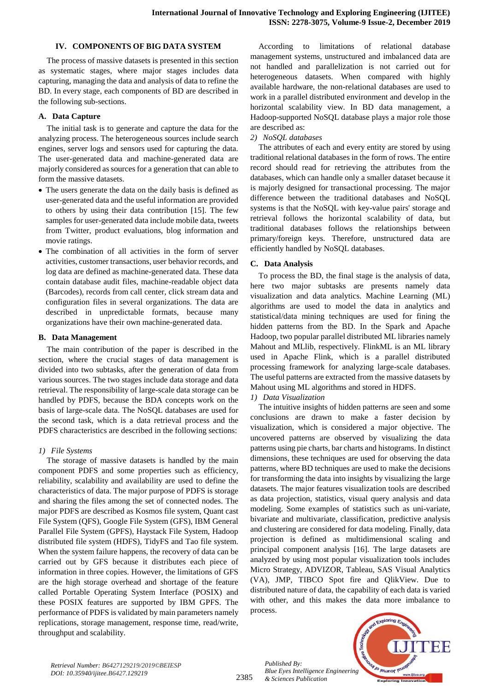#### **IV. COMPONENTS OF BIG DATA SYSTEM**

The process of massive datasets is presented in this section as systematic stages, where major stages includes data capturing, managing the data and analysis of data to refine the BD. In every stage, each components of BD are described in the following sub-sections.

## **A. Data Capture**

The initial task is to generate and capture the data for the analyzing process. The heterogeneous sources include search engines, server logs and sensors used for capturing the data. The user-generated data and machine-generated data are majorly considered as sources for a generation that can able to form the massive datasets.

- The users generate the data on the daily basis is defined as user-generated data and the useful information are provided to others by using their data contribution [15]. The few samples for user-generated data include mobile data, tweets from Twitter, product evaluations, blog information and movie ratings.
- The combination of all activities in the form of server activities, customer transactions, user behavior records, and log data are defined as machine-generated data. These data contain database audit files, machine-readable object data (Barcodes), records from call center, click stream data and configuration files in several organizations. The data are described in unpredictable formats, because many organizations have their own machine-generated data.

## **B. Data Management**

The main contribution of the paper is described in the section, where the crucial stages of data management is divided into two subtasks, after the generation of data from various sources. The two stages include data storage and data retrieval. The responsibility of large-scale data storage can be handled by PDFS, because the BDA concepts work on the basis of large-scale data. The NoSQL databases are used for the second task, which is a data retrieval process and the PDFS characteristics are described in the following sections:

## *1) File Systems*

The storage of massive datasets is handled by the main component PDFS and some properties such as efficiency, reliability, scalability and availability are used to define the characteristics of data. The major purpose of PDFS is storage and sharing the files among the set of connected nodes. The major PDFS are described as Kosmos file system, Quant cast File System (QFS), Google File System (GFS), IBM General Parallel File System (GPFS), Haystack File System, Hadoop distributed file system (HDFS), TidyFS and Tao file system. When the system failure happens, the recovery of data can be carried out by GFS because it distributes each piece of information in three copies. However, the limitations of GFS are the high storage overhead and shortage of the feature called Portable Operating System Interface (POSIX) and these POSIX features are supported by IBM GPFS. The performance of PDFS is validated by main parameters namely replications, storage management, response time, read/write, throughput and scalability.

According to limitations of relational database management systems, unstructured and imbalanced data are not handled and parallelization is not carried out for heterogeneous datasets. When compared with highly available hardware, the non-relational databases are used to work in a parallel distributed environment and develop in the horizontal scalability view. In BD data management, a Hadoop-supported NoSQL database plays a major role those are described as:

## *2) NoSQL databases*

The attributes of each and every entity are stored by using traditional relational databases in the form of rows. The entire record should read for retrieving the attributes from the databases, which can handle only a smaller dataset because it is majorly designed for transactional processing. The major difference between the traditional databases and NoSQL systems is that the NoSQL with key-value pairs' storage and retrieval follows the horizontal scalability of data, but traditional databases follows the relationships between primary/foreign keys. Therefore, unstructured data are efficiently handled by NoSQL databases.

# **C. Data Analysis**

To process the BD, the final stage is the analysis of data, here two major subtasks are presents namely data visualization and data analytics. Machine Learning (ML) algorithms are used to model the data in analytics and statistical/data mining techniques are used for fining the hidden patterns from the BD. In the Spark and Apache Hadoop, two popular parallel distributed ML libraries namely Mahout and MLlib, respectively. FlinkML is an ML library used in Apache Flink, which is a parallel distributed processing framework for analyzing large-scale databases. The useful patterns are extracted from the massive datasets by Mahout using ML algorithms and stored in HDFS.

## *1) Data Visualization*

The intuitive insights of hidden patterns are seen and some conclusions are drawn to make a faster decision by visualization, which is considered a major objective. The uncovered patterns are observed by visualizing the data patterns using pie charts, bar charts and histograms. In distinct dimensions, these techniques are used for observing the data patterns, where BD techniques are used to make the decisions for transforming the data into insights by visualizing the large datasets. The major features visualization tools are described as data projection, statistics, visual query analysis and data modeling. Some examples of statistics such as uni-variate, bivariate and multivariate, classification, predictive analysis and clustering are considered for data modeling. Finally, data projection is defined as multidimensional scaling and principal component analysis [16]. The large datasets are analyzed by using most popular visualization tools includes Micro Strategy, ADVIZOR, Tableau, SAS Visual Analytics (VA), JMP, TIBCO Spot fire and QlikView. Due to distributed nature of data, the capability of each data is varied with other, and this makes the data more imbalance to process.



2385

*Published By: Blue Eyes Intelligence Engineering & Sciences Publication*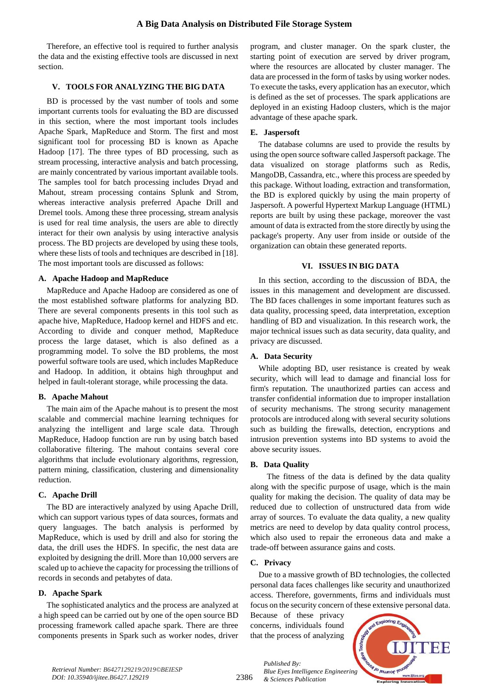Therefore, an effective tool is required to further analysis the data and the existing effective tools are discussed in next section.

## **V. TOOLS FOR ANALYZING THE BIG DATA**

BD is processed by the vast number of tools and some important currents tools for evaluating the BD are discussed in this section, where the most important tools includes Apache Spark, MapReduce and Storm. The first and most significant tool for processing BD is known as Apache Hadoop [17]. The three types of BD processing, such as stream processing, interactive analysis and batch processing, are mainly concentrated by various important available tools. The samples tool for batch processing includes Dryad and Mahout, stream processing contains Splunk and Strom, whereas interactive analysis preferred Apache Drill and Dremel tools. Among these three processing, stream analysis is used for real time analysis, the users are able to directly interact for their own analysis by using interactive analysis process. The BD projects are developed by using these tools, where these lists of tools and techniques are described in [18]. The most important tools are discussed as follows:

#### **A. Apache Hadoop and MapReduce**

MapReduce and Apache Hadoop are considered as one of the most established software platforms for analyzing BD. There are several components presents in this tool such as apache hive, MapReduce, Hadoop kernel and HDFS and etc. According to divide and conquer method, MapReduce process the large dataset, which is also defined as a programming model. To solve the BD problems, the most powerful software tools are used, which includes MapReduce and Hadoop. In addition, it obtains high throughput and helped in fault-tolerant storage, while processing the data.

#### **B. Apache Mahout**

The main aim of the Apache mahout is to present the most scalable and commercial machine learning techniques for analyzing the intelligent and large scale data. Through MapReduce, Hadoop function are run by using batch based collaborative filtering. The mahout contains several core algorithms that include evolutionary algorithms, regression, pattern mining, classification, clustering and dimensionality reduction.

#### **C. Apache Drill**

The BD are interactively analyzed by using Apache Drill, which can support various types of data sources, formats and query languages. The batch analysis is performed by MapReduce, which is used by drill and also for storing the data, the drill uses the HDFS. In specific, the nest data are exploited by designing the drill. More than 10,000 servers are scaled up to achieve the capacity for processing the trillions of records in seconds and petabytes of data.

#### **D. Apache Spark**

The sophisticated analytics and the process are analyzed at a high speed can be carried out by one of the open source BD processing framework called apache spark. There are three components presents in Spark such as worker nodes, driver program, and cluster manager. On the spark cluster, the starting point of execution are served by driver program, where the resources are allocated by cluster manager. The data are processed in the form of tasks by using worker nodes. To execute the tasks, every application has an executor, which is defined as the set of processes. The spark applications are deployed in an existing Hadoop clusters, which is the major advantage of these apache spark.

#### **E. Jaspersoft**

The database columns are used to provide the results by using the open source software called Jaspersoft package. The data visualized on storage platforms such as Redis, MangoDB, Cassandra, etc., where this process are speeded by this package. Without loading, extraction and transformation, the BD is explored quickly by using the main property of Jaspersoft. A powerful Hypertext Markup Language (HTML) reports are built by using these package, moreover the vast amount of data is extracted from the store directly by using the package's property. Any user from inside or outside of the organization can obtain these generated reports.

## **VI. ISSUES IN BIG DATA**

In this section, according to the discussion of BDA, the issues in this management and development are discussed. The BD faces challenges in some important features such as data quality, processing speed, data interpretation, exception handling of BD and visualization. In this research work, the major technical issues such as data security, data quality, and privacy are discussed.

#### **A. Data Security**

While adopting BD, user resistance is created by weak security, which will lead to damage and financial loss for firm's reputation. The unauthorized parties can access and transfer confidential information due to improper installation of security mechanisms. The strong security management protocols are introduced along with several security solutions such as building the firewalls, detection, encryptions and intrusion prevention systems into BD systems to avoid the above security issues.

#### **B. Data Quality**

The fitness of the data is defined by the data quality along with the specific purpose of usage, which is the main quality for making the decision. The quality of data may be reduced due to collection of unstructured data from wide array of sources. To evaluate the data quality, a new quality metrics are need to develop by data quality control process, which also used to repair the erroneous data and make a trade-off between assurance gains and costs.

#### **C. Privacy**

Due to a massive growth of BD technologies, the collected personal data faces challenges like security and unauthorized access. Therefore, governments, firms and individuals must focus on the security concern of these extensive personal data.

Because of these privacy concerns, individuals found that the process of analyzing



2386

*Published By: Blue Eyes Intelligence Engineering & Sciences Publication*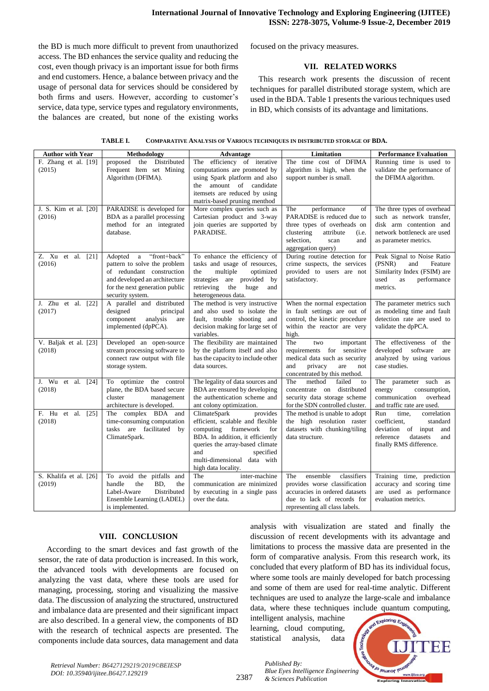the BD is much more difficult to prevent from unauthorized access. The BD enhances the service quality and reducing the cost, even though privacy is an important issue for both firms and end customers. Hence, a balance between privacy and the usage of personal data for services should be considered by both firms and users. However, according to customer's service, data type, service types and regulatory environments, the balances are created, but none of the existing works focused on the privacy measures.

#### **VII. RELATED WORKS**

This research work presents the discussion of recent techniques for parallel distributed storage system, which are used in the BDA. Table 1 presents the various techniques used in BD, which consists of its advantage and limitations.

| COMPARATIVE ANALYSIS OF VARIOUS TECHNIQUES IN DISTRIBUTED STORAGE OF BDA. |
|---------------------------------------------------------------------------|
|                                                                           |

| <b>Author with Year</b>                      | Methodology                                                                                                                                                                   | <b>Advantage</b>                                                                                                                                                                                                                            | Limitation                                                                                                                                                                   | <b>Performance Evaluation</b>                                                                                                                |
|----------------------------------------------|-------------------------------------------------------------------------------------------------------------------------------------------------------------------------------|---------------------------------------------------------------------------------------------------------------------------------------------------------------------------------------------------------------------------------------------|------------------------------------------------------------------------------------------------------------------------------------------------------------------------------|----------------------------------------------------------------------------------------------------------------------------------------------|
| F. Zhang et al. [19]<br>(2015)               | proposed the Distributed<br>Frequent Item set Mining<br>Algorithm (DFIMA).                                                                                                    | The efficiency of iterative<br>computations are promoted by<br>using Spark platform and also<br>the amount of candidate<br>itemsets are reduced by using<br>matrix-based pruning menthod                                                    | The time cost of DFIMA<br>algorithm is high, when the<br>support number is small.                                                                                            | Running time is used to<br>validate the performance of<br>the DFIMA algorithm.                                                               |
| J. S. Kim et al. [20]<br>(2016)              | PARADISE is developed for<br>BDA as a parallel processing<br>method for an integrated<br>database.                                                                            | More complex queries such as<br>Cartesian product and 3-way<br>join queries are supported by<br>PARADISE.                                                                                                                                   | The<br>performance<br>of<br>PARADISE is reduced due to<br>three types of overheads on<br>clustering<br>attribute<br>(i.e.<br>selection,<br>scan<br>and<br>aggregation query) | The three types of overhead<br>such as network transfer,<br>disk arm contention and<br>network bottleneck are used<br>as parameter metrics.  |
| Z. Xu et al. [21]<br>(2016)                  | "front+back"<br>Adopted a<br>pattern to solve the problem<br>of redundant construction<br>and developed an architecture<br>for the next generation public<br>security system. | To enhance the efficiency of<br>tasks and usage of resources,<br>multiple<br>the<br>optimized<br>are provided by<br>strategies<br>retrieving<br>the<br>huge<br>and<br>heterogeneous data.                                                   | During routine detection for<br>crime suspects, the services<br>provided to users are not<br>satisfactory.                                                                   | Peak Signal to Noise Ratio<br>(PSNR)<br>and<br>Feature<br>Similarity Index (FSIM) are<br>performance<br>used<br>as<br>metrics.               |
| J. Zhu et al. [22]<br>(2017)                 | A parallel and distributed<br>designed<br>principal<br>analysis<br>component<br>are<br>implemented (dpPCA).                                                                   | The method is very instructive<br>and also used to isolate the<br>fault, trouble shooting and<br>decision making for large set of<br>variables.                                                                                             | When the normal expectation<br>in fault settings are out of<br>control, the kinetic procedure<br>within the reactor are very<br>high.                                        | The parameter metrics such<br>as modeling time and fault<br>detection rate are used to<br>validate the dpPCA.                                |
| V. Baljak et al. [23]<br>(2018)              | Developed an open-source<br>stream processing software to<br>connect raw output with file<br>storage system.                                                                  | The flexibility are maintained<br>by the platform itself and also<br>has the capacity to include other<br>data sources.                                                                                                                     | The<br>two<br>important<br>requirements for sensitive<br>medical data such as security<br>and<br>privacy<br>are<br>not<br>concentrated by this method.                       | The effectiveness of the<br>developed software<br>are<br>analyzed by using various<br>case studies.                                          |
| J. Wu et al.<br>$\lceil 24 \rceil$<br>(2018) | To optimize the control<br>plane, the BDA based secure<br>cluster<br>management<br>architecture is developed.                                                                 | The legality of data sources and<br>BDA are ensured by developing<br>the authentication scheme and<br>ant colony optimization.                                                                                                              | The<br>method<br>failed<br>to<br>concentrate on distributed<br>security data storage scheme<br>for the SDN controlled cluster.                                               | The parameter such as<br>energy<br>consumption,<br>communication<br>overhead<br>and traffic rate are used.                                   |
| F. Hu et<br>al.<br>[25]<br>(2018)            | The complex BDA and<br>time-consuming computation<br>tasks are facilitated by<br>ClimateSpark.                                                                                | ClimateSpark<br>provides<br>efficient, scalable and flexible<br>computing framework<br>for<br>BDA. In addition, it efficiently<br>queries the array-based climate<br>and<br>specified<br>multi-dimensional data with<br>high data locality. | The method is unable to adopt<br>the high resolution raster<br>datasets with chunking/tiling<br>data structure.                                                              | Run<br>correlation<br>time,<br>coefficient,<br>standard<br>deviation of input and<br>datasets<br>reference<br>and<br>finally RMS difference. |
| S. Khalifa et al. [26]<br>(2019)             | To avoid the pitfalls and<br>BD.<br>handle<br>the<br>the<br>Distributed<br>Label-Aware<br>Ensemble Learning (LADEL)<br>is implemented.                                        | inter-machine<br>The<br>communication are minimized<br>by executing in a single pass<br>over the data.                                                                                                                                      | ensemble<br>classifiers<br>The<br>provides worse classification<br>accuracies in ordered datasets<br>due to lack of records for<br>representing all class labels.            | Training time, prediction<br>accuracy and scoring time<br>are used as performance<br>evaluation metrics.                                     |

#### **VIII. CONCLUSION**

According to the smart devices and fast growth of the sensor, the rate of data production is increased. In this work, the advanced tools with developments are focused on analyzing the vast data, where these tools are used for managing, processing, storing and visualizing the massive data. The discussion of analyzing the structured, unstructured and imbalance data are presented and their significant impact are also described. In a general view, the components of BD with the research of technical aspects are presented. The components include data sources, data management and data analysis with visualization are stated and finally the discussion of recent developments with its advantage and limitations to process the massive data are presented in the form of comparative analysis. From this research work, its concluded that every platform of BD has its individual focus, where some tools are mainly developed for batch processing and some of them are used for real-time analytic. Different techniques are used to analyze the large-scale and imbalance data, where these techniques include quantum computing,

intelligent analysis, machine learning, cloud computing, statistical analysis, data

*& Sciences Publication* 

*Published By:*



*Retrieval Number: B6427129219/2019©BEIESP DOI: 10.35940/ijitee.B6427.129219*

2387